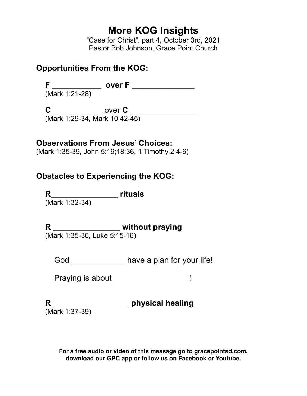# **More KOG Insights**

"Case for Christ", part 4, October 3rd, 2021 Pastor Bob Johnson, Grace Point Church

#### **Opportunities From the KOG:**

**F \_\_\_\_\_\_\_\_\_\_\_ over F \_\_\_\_\_\_\_\_\_\_\_\_\_\_** (Mark 1:21-28)

**C** \_\_\_\_\_\_\_\_\_\_\_\_\_ over **C** \_\_\_\_\_\_\_\_\_\_\_\_\_\_\_\_ (Mark 1:29-34, Mark 10:42-45)

### **Observations From Jesus' Choices:**

(Mark 1:35-39, John 5:19;18:36, 1 Timothy 2:4-6)

## **Obstacles to Experiencing the KOG:**

**R\_\_\_\_\_\_\_\_\_\_\_\_\_\_\_ rituals** (Mark 1:32-34)

**R \_\_\_\_\_\_\_\_\_\_\_\_\_\_\_ without praying**

(Mark 1:35-36, Luke 5:15-16)

God \_\_\_\_\_\_\_\_\_\_\_\_\_ have a plan for your life!

Praying is about \_\_\_\_\_\_\_\_\_\_\_\_\_\_\_\_\_!

**R \_\_\_\_\_\_\_\_\_\_\_\_\_\_\_\_\_ physical healing** (Mark 1:37-39)

**For a free audio or video of this message go to gracepointsd.com, download our GPC app or follow us on Facebook or Youtube.**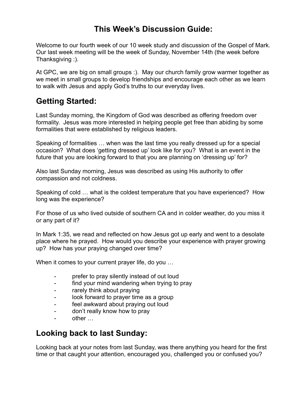### **This Week's Discussion Guide:**

Welcome to our fourth week of our 10 week study and discussion of the Gospel of Mark. Our last week meeting will be the week of Sunday, November 14th (the week before Thanksgiving :).

At GPC, we are big on small groups :). May our church family grow warmer together as we meet in small groups to develop friendships and encourage each other as we learn to walk with Jesus and apply God's truths to our everyday lives.

### **Getting Started:**

Last Sunday morning, the Kingdom of God was described as offering freedom over formality. Jesus was more interested in helping people get free than abiding by some formalities that were established by religious leaders.

Speaking of formalities … when was the last time you really dressed up for a special occasion? What does 'getting dressed up' look like for you? What is an event in the future that you are looking forward to that you are planning on 'dressing up' for?

Also last Sunday morning, Jesus was described as using His authority to offer compassion and not coldness.

Speaking of cold … what is the coldest temperature that you have experienced? How long was the experience?

For those of us who lived outside of southern CA and in colder weather, do you miss it or any part of it?

In Mark 1:35, we read and reflected on how Jesus got up early and went to a desolate place where he prayed. How would you describe your experience with prayer growing up? How has your praying changed over time?

When it comes to your current prayer life, do you …

- prefer to pray silently instead of out loud
- find your mind wandering when trying to pray
- rarely think about praying
- look forward to prayer time as a group
- feel awkward about praying out loud
- don't really know how to pray
- other …

### **Looking back to last Sunday:**

Looking back at your notes from last Sunday, was there anything you heard for the first time or that caught your attention, encouraged you, challenged you or confused you?